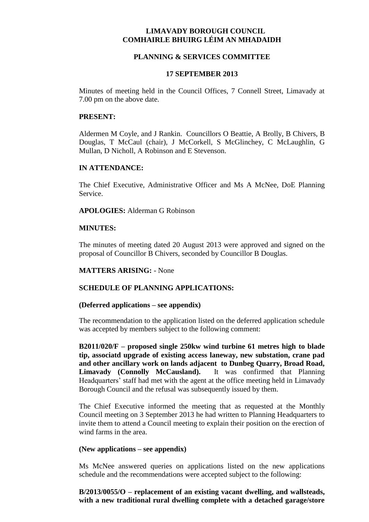# **LIMAVADY BOROUGH COUNCIL COMHAIRLE BHUIRG LÉIM AN MHADAIDH**

### **PLANNING & SERVICES COMMITTEE**

#### **17 SEPTEMBER 2013**

Minutes of meeting held in the Council Offices, 7 Connell Street, Limavady at 7.00 pm on the above date.

### **PRESENT:**

Aldermen M Coyle, and J Rankin. Councillors O Beattie, A Brolly, B Chivers, B Douglas, T McCaul (chair), J McCorkell, S McGlinchey, C McLaughlin, G Mullan, D Nicholl, A Robinson and E Stevenson.

### **IN ATTENDANCE:**

The Chief Executive, Administrative Officer and Ms A McNee, DoE Planning Service.

### **APOLOGIES:** Alderman G Robinson

### **MINUTES:**

The minutes of meeting dated 20 August 2013 were approved and signed on the proposal of Councillor B Chivers, seconded by Councillor B Douglas.

### **MATTERS ARISING:** - None

# **SCHEDULE OF PLANNING APPLICATIONS:**

#### **(Deferred applications – see appendix)**

The recommendation to the application listed on the deferred application schedule was accepted by members subject to the following comment:

**B2011/020/F – proposed single 250kw wind turbine 61 metres high to blade tip, associatd upgrade of existing access laneway, new substation, crane pad and other ancillary work on lands adjacent to Dunbeg Quarry, Broad Road, Limavady (Connolly McCausland).** It was confirmed that Planning Headquarters' staff had met with the agent at the office meeting held in Limavady Borough Council and the refusal was subsequently issued by them.

The Chief Executive informed the meeting that as requested at the Monthly Council meeting on 3 September 2013 he had written to Planning Headquarters to invite them to attend a Council meeting to explain their position on the erection of wind farms in the area.

#### **(New applications – see appendix)**

Ms McNee answered queries on applications listed on the new applications schedule and the recommendations were accepted subject to the following:

**B/2013/0055/O – replacement of an existing vacant dwelling, and wallsteads, with a new traditional rural dwelling complete with a detached garage/store**